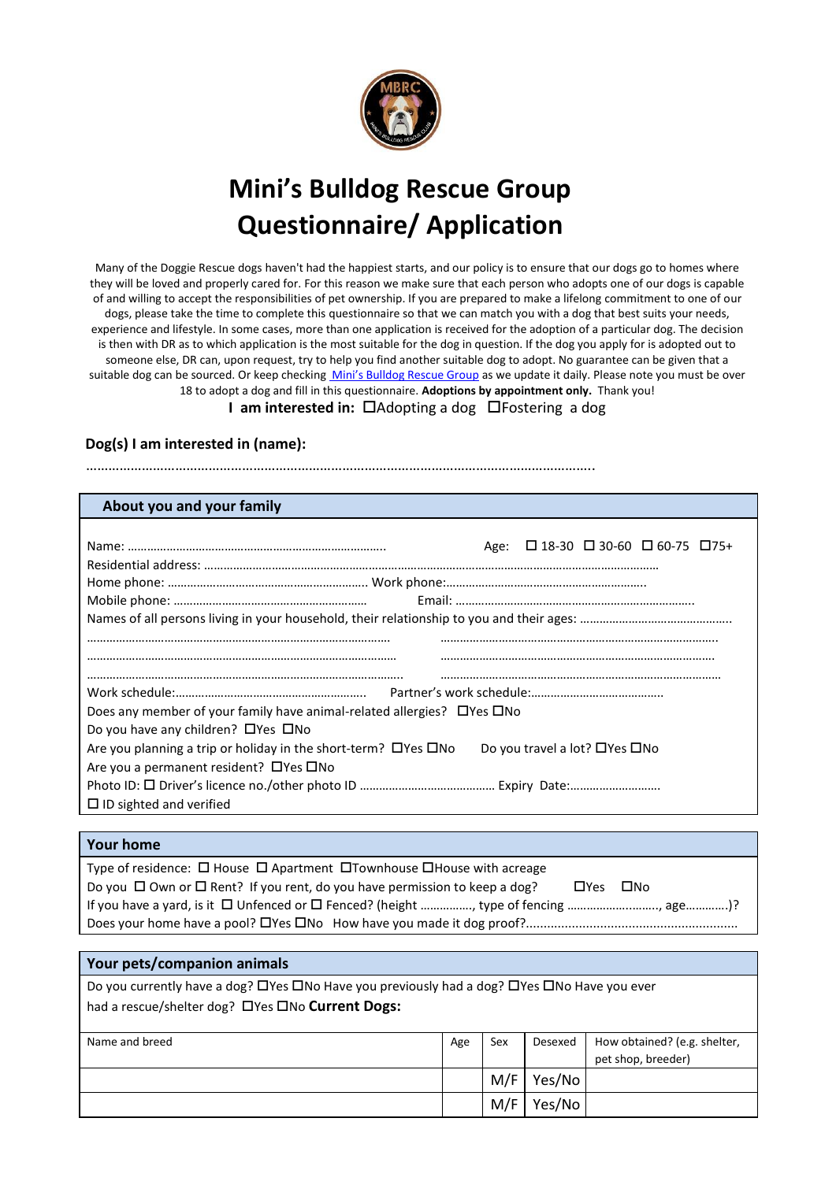

# **Mini's Bulldog Rescue Group Questionnaire/ Application**

Many of the Doggie Rescue dogs haven't had the happiest starts, and our policy is to ensure that our dogs go to homes where they will be loved and properly cared for. For this reason we make sure that each person who adopts one of our dogs is capable of and willing to accept the responsibilities of pet ownership. If you are prepared to make a lifelong commitment to one of our dogs, please take the time to complete this questionnaire so that we can match you with a dog that best suits your needs, experience and lifestyle. In some cases, more than one application is received for the adoption of a particular dog. The decision is then with DR as to which application is the most suitable for the dog in question. If the dog you apply for is adopted out to someone else, DR can, upon request, try to help you find another suitable dog to adopt. No guarantee can be given that a suitable dog can be sourced. Or keep checki[ng](http://www.doggierescue.com/) Mini's Bulldog Rescue Group as we update it daily. Please note you must be over 18 to adopt a dog and fill in this questionnaire. **Adoptions by appointment only.** Thank you!

**I am interested in:** □Adopting a dog □Fostering a dog

## **Dog(s) I am interested in (name):**

………………………………………………………………………………………………………………………..

### **About you and your family**

|                                                                            |                               | Age: $\Box$ 18-30 $\Box$ 30-60 $\Box$ 60-75 $\Box$ 75+ |  |
|----------------------------------------------------------------------------|-------------------------------|--------------------------------------------------------|--|
|                                                                            |                               |                                                        |  |
|                                                                            |                               |                                                        |  |
|                                                                            |                               |                                                        |  |
|                                                                            |                               |                                                        |  |
|                                                                            |                               |                                                        |  |
|                                                                            |                               |                                                        |  |
|                                                                            |                               |                                                        |  |
| Does any member of your family have animal-related allergies? □ Yes □ No   |                               |                                                        |  |
| Do you have any children? $\Box$ Yes $\Box$ No                             |                               |                                                        |  |
| Are you planning a trip or holiday in the short-term? $\Box$ Yes $\Box$ No | Do you travel a lot? □Yes □No |                                                        |  |
| Are you a permanent resident? $\Box$ Yes $\Box$ No                         |                               |                                                        |  |
|                                                                            |                               |                                                        |  |
| $\Box$ ID sighted and verified                                             |                               |                                                        |  |

#### **Your home**

Type of residence:  $\Box$  House  $\Box$  Apartment  $\Box$ Townhouse  $\Box$ House with acreage Do you  $\Box$  Own or  $\Box$  Rent? If you rent, do you have permission to keep a dog?  $\Box$  Yes  $\Box$  No If you have a yard, is it □ Unfenced or □ Fenced? (height ………………, type of fencing ……………………………, age……………)? Does your home have a pool? Yes No How have you made it dog proof?............................................................

## **Your pets/companion animals**

Do you currently have a dog? O'Yes ONo Have you previously had a dog? O'Yes ONo Have you ever had a rescue/shelter dog? DYes DNo **Current Dogs:** 

| Name and breed | Age | Sex | Desexed | How obtained? (e.g. shelter,<br>pet shop, breeder) |
|----------------|-----|-----|---------|----------------------------------------------------|
|                |     | M/F | Yes/No  |                                                    |
|                |     | M/F | Yes/No  |                                                    |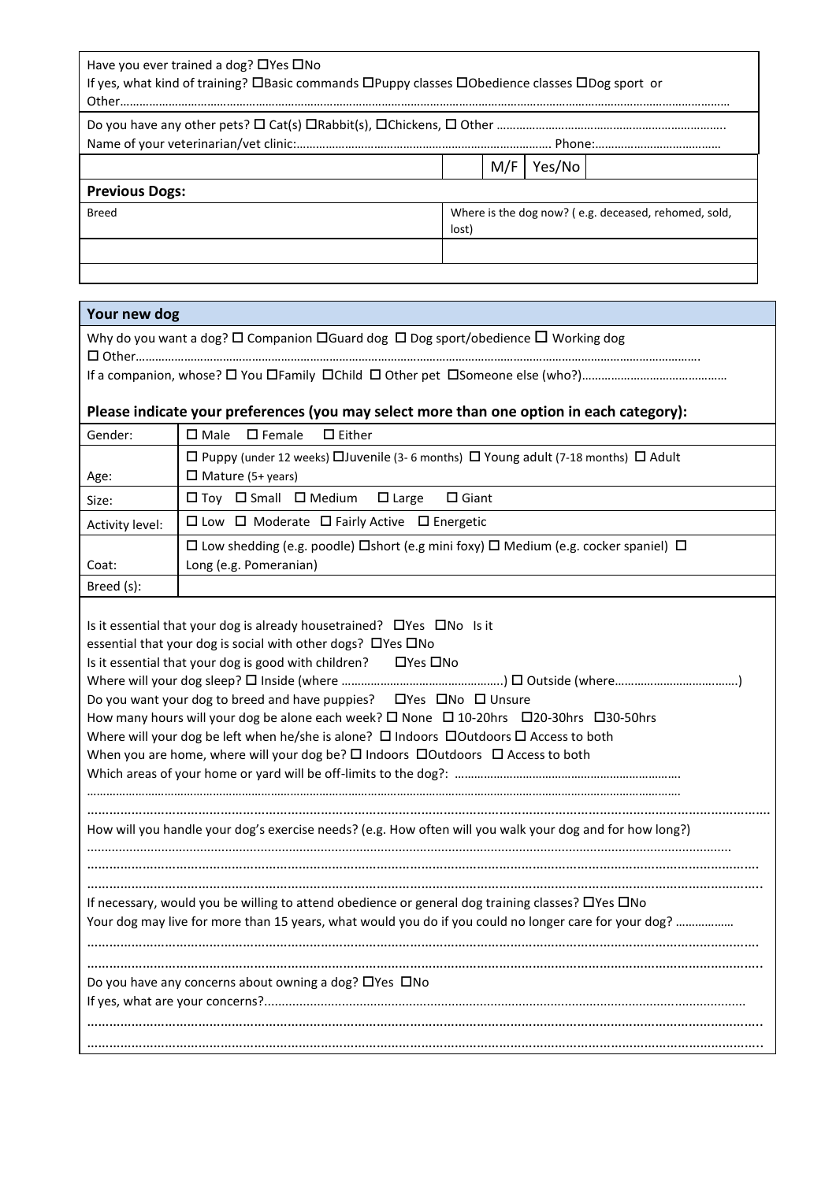| Have you ever trained a dog? $\Box$ Yes $\Box$ No<br>If yes, what kind of training? OBasic commands OPuppy classes OObedience classes ODog sport or |       |                                                      |        |  |
|-----------------------------------------------------------------------------------------------------------------------------------------------------|-------|------------------------------------------------------|--------|--|
|                                                                                                                                                     |       |                                                      |        |  |
|                                                                                                                                                     |       | M/F                                                  | Yes/No |  |
| <b>Previous Dogs:</b>                                                                                                                               |       |                                                      |        |  |
| <b>Breed</b>                                                                                                                                        | lost) | Where is the dog now? (e.g. deceased, rehomed, sold, |        |  |
|                                                                                                                                                     |       |                                                      |        |  |
|                                                                                                                                                     |       |                                                      |        |  |
| Your new dog                                                                                                                                        |       |                                                      |        |  |

| Why do you want a dog? $\square$ Companion $\square$ Guard dog $\square$ Dog sport/obedience $\square$ Working dog |
|--------------------------------------------------------------------------------------------------------------------|
|                                                                                                                    |
|                                                                                                                    |

# **Please indicate your preferences (you may select more than one option in each category):**

| Gender:         | $\square$ Female<br>$\Box$ Either<br>$\square$ Male                                                       |
|-----------------|-----------------------------------------------------------------------------------------------------------|
|                 | $\Box$ Puppy (under 12 weeks) $\Box$ Juvenile (3-6 months) $\Box$ Young adult (7-18 months) $\Box$ Adult  |
| Age:            | $\Box$ Mature (5+ years)                                                                                  |
| Size:           | $\Box$ Toy $\Box$ Small $\Box$ Medium<br>$\Box$ Large<br>$\Box$ Giant                                     |
| Activity level: | $\Box$ Low $\Box$ Moderate $\Box$ Fairly Active $\Box$ Energetic                                          |
|                 | $\Box$ Low shedding (e.g. poodle) $\Box$ short (e.g mini foxy) $\Box$ Medium (e.g. cocker spaniel) $\Box$ |
| Coat:           | Long (e.g. Pomeranian)                                                                                    |
| Breed (s):      |                                                                                                           |

| Is it essential that your dog is already housetrained? $\Box$ Yes $\Box$ No Is it                            |
|--------------------------------------------------------------------------------------------------------------|
| essential that your dog is social with other dogs? □ Yes □ No                                                |
| Is it essential that your dog is good with children? $\Box$ Yes $\Box$ No                                    |
|                                                                                                              |
| Do you want your dog to breed and have puppies? □ Yes □ No □ Unsure                                          |
| How many hours will your dog be alone each week? □ None □ 10-20hrs □ 20-30hrs □ 30-50hrs                     |
| Where will your dog be left when he/she is alone? $\Box$ Indoors $\Box$ Outdoors $\Box$ Access to both       |
| When you are home, where will your dog be? $\Box$ Indoors $\Box$ Outdoors $\Box$ Access to both              |
|                                                                                                              |
|                                                                                                              |
|                                                                                                              |
| How will you handle your dog's exercise needs? (e.g. How often will you walk your dog and for how long?)     |
|                                                                                                              |
|                                                                                                              |
|                                                                                                              |
| If necessary, would you be willing to attend obedience or general dog training classes? $\Box$ Yes $\Box$ No |
| Your dog may live for more than 15 years, what would you do if you could no longer care for your dog?        |
|                                                                                                              |
|                                                                                                              |
| Do you have any concerns about owning a dog? $\Box$ Yes $\Box$ No                                            |
|                                                                                                              |
|                                                                                                              |
|                                                                                                              |